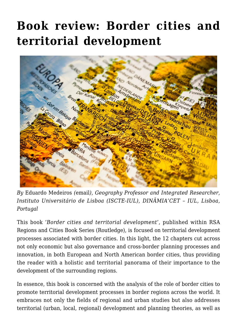## **[Book review: Border cities and](https://regions.regionalstudies.org/ezine/article/issue-12-book-review-border-cities/) [territorial development](https://regions.regionalstudies.org/ezine/article/issue-12-book-review-border-cities/)**



*By* [Eduardo Medeiros](https://www.dinamiacet.iscte-iul.pt/research-team/Eduardo-Medeiros) *(*[email](mailto:eduardo.medeiros@iscte-iul.pt)*), Geography Professor and Integrated Researcher, Instituto Universitário de Lisboa (ISCTE-IUL), DINÂMIA'CET – IUL, Lisboa, Portugal*

[This book](https://www.taylorfrancis.com/books/edit/10.4324/9781003164753/border-cities-territorial-development-eduardo-medeiros) '*Border cities and territorial development*', published within [RSA](https://www.routledge.com/Regions-and-Cities/book-series/RSA) [Regions and Cities Book Series](https://www.routledge.com/Regions-and-Cities/book-series/RSA) (Routledge), is focused on territorial development processes associated with border cities. In this light, the 12 chapters cut across not only economic but also governance and cross-border planning processes and innovation, in both European and North American border cities, thus providing the reader with a holistic and territorial panorama of their importance to the development of the surrounding regions.

In essence, this book is concerned with the analysis of the role of border cities to promote territorial development processes in border regions across the world. It embraces not only the fields of regional and urban studies but also addresses territorial (urban, local, regional) development and planning theories, as well as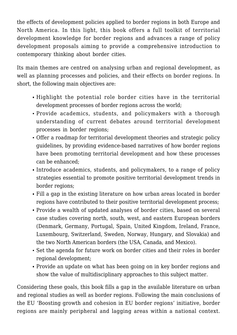the effects of development policies applied to border regions in both Europe and North America. In this light, this book offers a full toolkit of territorial development knowledge for border regions and advances a range of policy development proposals aiming to provide a comprehensive introduction to contemporary thinking about border cities.

Its main themes are centred on analysing urban and regional development, as well as planning processes and policies, and their effects on border regions. In short, the following main objectives are:

- Highlight the potential role border cities have in the territorial development processes of border regions across the world;
- Provide academics, students, and policymakers with a thorough understanding of current debates around territorial development processes in border regions;
- Offer a roadmap for territorial development theories and strategic policy guidelines, by providing evidence-based narratives of how border regions have been promoting territorial development and how these processes can be enhanced;
- Introduce academics, students, and policymakers, to a range of policy strategies essential to promote positive territorial development trends in border regions;
- Fill a gap in the existing literature on how urban areas located in border regions have contributed to their positive territorial development process;
- Provide a wealth of updated analyses of border cities, based on several case studies covering north, south, west, and eastern European borders (Denmark, Germany, Portugal, Spain, United Kingdom, Ireland, France, Luxembourg, Switzerland, Sweden, Norway, Hungary, and Slovakia) and the two North American borders (the USA, Canada, and Mexico).
- Set the agenda for future work on border cities and their roles in border regional development;
- Provide an update on what has been going on in key border regions and show the value of multidisciplinary approaches to this subject matter.

Considering these goals, this book fills a gap in the available literature on urban and regional studies as well as border regions. Following the main conclusions of the EU 'Boosting growth and cohesion in EU border regions' initiative, border regions are mainly peripheral and lagging areas within a national context.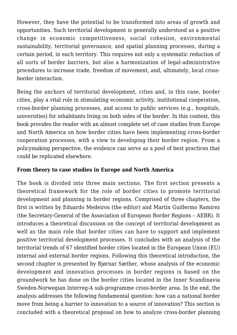However, they have the potential to be transformed into areas of growth and opportunities. Such territorial development is generally understood as a positive change in economic competitiveness, social cohesion, environmental sustainability, territorial governance, and spatial planning processes, during a certain period, in each territory. This requires not only a systematic reduction of all sorts of border barriers, but also a harmonization of legal-administrative procedures to increase trade, freedom of movement, and, ultimately, local crossborder interaction.

Being the anchors of territorial development, cities and, in this case, border cities, play a vital role in stimulating economic activity, institutional cooperation, cross-border planning processes, and access to public services (e.g., hospitals, universities) for inhabitants living on both sides of the border. In this context, this book provides the reader with an almost complete set of case studies from Europe and North America on how border cities have been implementing cross-border cooperation processes, with a view to developing their border region. From a policymaking perspective, the evidence can serve as a pool of best practices that could be replicated elsewhere.

## **From theory to case studies in Europe and North America**

The book is divided into three main sections. The first section presents a theoretical framework for the role of border cities to promote territorial development and planning in border regions. Comprised of three chapters, the first is written by Eduardo Medeiros (the editor) and Martín Guillermo Ramírez (the Secretary-General of the Association of European Border Regions – AEBR). It introduces a theoretical discussion on the concept of territorial development as well as the main role that border cities can have to support and implement positive territorial development processes. It concludes with an analysis of the territorial trends of 67 identified border cities located in the European Union (EU) internal and external border regions. Following this theoretical introduction, the second chapter is presented by Bjørnar Sæther, whose analysis of the economic development and innovation processes in border regions is based on the groundwork he has done on the border cities located in the Inner Scandinavia Sweden-Norwegian Interreg-A sub-programme cross-border area. In the end, the analysis addresses the following fundamental question: how can a national border move from being a barrier to innovation to a source of innovation? This section is concluded with a theoretical proposal on how to analyze cross-border planning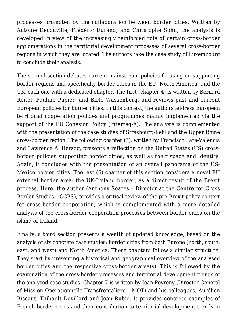processes promoted by the collaboration between border cities. Written by Antoine Decouville, Frédéric Durand, and Christophe Sohn, the analysis is developed in view of the increasingly reinforced role of certain cross-border agglomerations in the territorial development processes of several cross-border regions in which they are located. The authors take the case study of Luxembourg to conclude their analysis.

The second section debates current mainstream policies focusing on supporting border regions and specifically border cities in the EU, North America, and the UK, each one with a dedicated chapter. The first (chapter 4) is written by Bernard Reitel, Pauline Pupier, and Birte Wassenberg, and reviews past and current European policies for border cities. In this context, the authors address European territorial cooperation policies and programmes mainly implemented via the support of the EU Cohesion Policy ([Interreg-A\)](https://interreg.eu/). The analysis is complemented with the presentation of the case studies of Strasbourg-Kehl and the Upper Rhine cross-border region. The following chapter (5), written by Francisco Lara-Valencia and Lawrence A. Herzog, presents a reflection on the United States (US) crossborder policies supporting border cities, as well as their space and identity. Again, it concludes with the presentation of an overall panorama of the US-Mexico border cities. The last (6) chapter of this section considers a novel EU external border area: the UK-Ireland border, as a direct result of the Brexit process. Here, the author (Anthony Soares – Director at the Centre for Cross Border Studies – CCBS), provides a critical review of the pre-Brexit policy context for cross-border cooperation, which is complemented with a more detailed analysis of the cross-border cooperation processes between border cities on the island of Ireland.

Finally, a third section presents a wealth of updated knowledge, based on the analysis of six concrete case studies: border cities from both Europe (north, south, east, and west) and North America. These chapters follow a similar structure. They start by presenting a historical and geographical overview of the analysed border cities and the respective cross-border area(s). This is followed by the examination of the cross-border processes and territorial development trends of the analysed case studies. Chapter 7 is written by Jean Peyrony (Director General of Mission Operationnelle Transfrontaliere – MOT) and his colleagues, Aurélien Biscaut, Thibault Devillard and Jean Rubio. It provides concrete examples of French border cities and their contribution to territorial development trends in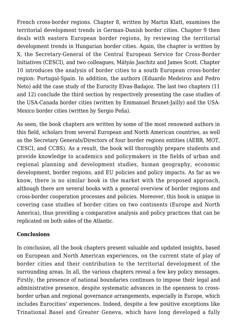French cross-border regions. Chapter 8, written by Martin Klatt, examines the territorial development trends in German-Danish border cities. Chapter 9 then deals with eastern European border regions, by reviewing the territorial development trends in Hungarian border cities. Again, the chapter is written by X, the Secretary-General of the Central European Service for Cross-Border Initiatives (CESCI), and two colleagues, Mátyás Jaschitz and James Scott. Chapter 10 introduces the analysis of border cities to a south European cross-border region: Portugal-Spain. In addition, the authors (Eduardo Medeiros and Pedro Neto) add the case study of the Eurocity Elvas-Badajoz. The last two chapters (11 and 12) conclude the third section by respectively presenting the case studies of the USA-Canada border cities (written by Emmanuel Brunet-Jailly) and the USA-Mexico border cities (written by Sergio Peña).

As seen, the book chapters are written by some of the most renowned authors in this field, scholars from several European and North American countries, as well as the Secretary Generals/Directors of four border regions entities (AEBR, MOT, CESCI, and CCBS). As a result, the book will thoroughly prepare students and provide knowledge to academics and policymakers in the fields of urban and regional planning and development studies, human geography, economic development, border regions, and EU policies and policy impacts. As far as we know, there is no similar book in the market with the proposed approach, although there are several books with a general overview of border regions and cross-border cooperation processes and policies. Moreover, this book is unique in covering case studies of border cities on two continents (Europe and North America), thus providing a comparative analysis and policy practices that can be replicated on both sides of the Atlantic.

## **Conclusions**

In conclusion, all the book chapters present valuable and updated insights, based on European and North American experiences, on the current state of play of border cities and their contribution to the territorial development of the surrounding areas. In all, the various chapters reveal a few key policy messages. Firstly, the presence of national boundaries continues to impose their legal and administrative presence, despite systematic advances in the openness to crossborder urban and regional governance arrangements, especially in Europe, which includes Eurocities' experiences. Indeed, despite a few positive exceptions like Trinational Basel and Greater Geneva, which have long developed a fully